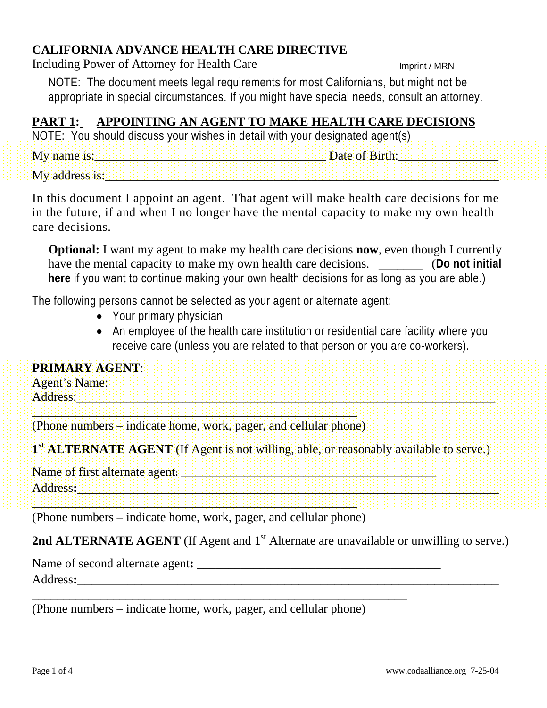#### **CALIFORNIA ADVANCE HEALTH CARE DIRECTIVE**

Including Power of Attorney for Health Care

NOTE: The document meets legal requirements for most Californians, but might not be appropriate in special circumstances. If you might have special needs, consult an attorney.

# **PART 1: APPOINTING AN AGENT TO MAKE HEALTH CARE DECISIONS**

| NOTE: You should discuss your wishes in detail with your designated agent(s) |  |  |  |  |  |  |  |  |               |  |  |  |  |  |  |
|------------------------------------------------------------------------------|--|--|--|--|--|--|--|--|---------------|--|--|--|--|--|--|
| $My$ name is:                                                                |  |  |  |  |  |  |  |  | Date of Birth |  |  |  |  |  |  |
| My address is:                                                               |  |  |  |  |  |  |  |  |               |  |  |  |  |  |  |

In this document I appoint an agent. That agent will make health care decisions for me in the future, if and when I no longer have the mental capacity to make my own health care decisions.

**Optional:** I want my agent to make my health care decisions **now**, even though I currently have the mental capacity to make my own health care decisions. \_\_\_\_\_\_\_ (**Do not initial here** if you want to continue making your own health decisions for as long as you are able.)

The following persons cannot be selected as your agent or alternate agent:

- Your primary physician
- An employee of the health care institution or residential care facility where you receive care (unless you are related to that person or you are co-workers).

| PRIMARY AGENT. |  |  |  |  |
|----------------|--|--|--|--|
| Agent's Name:  |  |  |  |  |
| Address:       |  |  |  |  |
|                |  |  |  |  |

(Phone numbers – indicate home, work, pager, and cellular phone)

**1st ALTERNATE AGENT** (If Agent is not willing, able, or reasonably available to serve.)

Name of first alternate agent**:** \_\_\_\_\_\_\_\_\_\_\_\_\_\_\_\_\_\_\_\_\_\_\_\_\_\_\_\_\_\_\_\_\_\_\_\_\_\_\_\_\_\_\_\_\_\_\_\_\_\_\_\_

Address**:**\_\_\_\_\_\_\_\_\_\_\_\_\_\_\_\_\_\_\_\_\_\_\_\_\_\_\_\_\_\_\_\_\_\_\_\_\_\_\_\_\_\_\_\_\_\_\_\_\_\_\_\_\_\_\_\_\_\_\_

 $\color{blue} \textcolor{blue}{1} \textcolor{blue}{1} \textcolor{blue}{1} \textcolor{blue}{1} \textcolor{blue}{1} \textcolor{blue}{1} \textcolor{blue}{1} \textcolor{blue}{1} \textcolor{blue}{1} \textcolor{blue}{1} \textcolor{blue}{1} \textcolor{blue}{1} \textcolor{blue}{1} \textcolor{blue}{1} \textcolor{blue}{1} \textcolor{blue}{1} \textcolor{blue}{1} \textcolor{blue}{1} \textcolor{blue}{1} \textcolor{blue}{1} \textcolor{blue}{1} \textcolor{blue}{1} \textcolor{blue}{1} \textcolor{blue}{1} \textcolor{blue}{1} \textcolor{blue}{1} \textcolor{blue}{1$ (Phone numbers – indicate home, work, pager, and cellular phone)

**2nd ALTERNATE AGENT** (If Agent and 1<sup>st</sup> Alternate are unavailable or unwilling to serve.)

Name of second alternate agent**:** \_\_\_\_\_\_\_\_\_\_\_\_\_\_\_\_\_\_\_\_\_\_\_\_\_\_\_\_\_\_\_\_\_\_\_\_\_\_\_

Address**:**\_\_\_\_\_\_\_\_\_\_\_\_\_\_\_\_\_\_\_\_\_\_\_\_\_\_\_\_\_\_\_\_\_\_\_\_\_\_\_\_\_\_\_\_\_\_\_\_\_\_\_\_\_\_\_\_\_\_\_

(Phone numbers – indicate home, work, pager, and cellular phone)

\_\_\_\_\_\_\_\_\_\_\_\_\_\_\_\_\_\_\_\_\_\_\_\_\_\_\_\_\_\_\_\_\_\_\_\_\_\_\_\_\_\_\_\_\_\_\_\_\_\_\_\_\_\_\_\_\_\_\_\_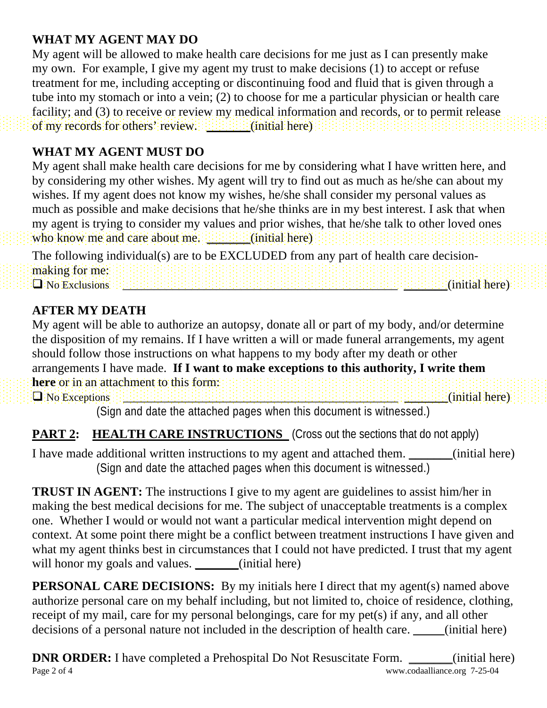### **WHAT MY AGENT MAY DO**

My agent will be allowed to make health care decisions for me just as I can presently make my own. For example, I give my agent my trust to make decisions (1) to accept or refuse treatment for me, including accepting or discontinuing food and fluid that is given through a tube into my stomach or into a vein; (2) to choose for me a particular physician or health care facility; and (3) to receive or review my medical information and records, or to permit release of my records for others' review. **Example 2018** (initial here)

### **WHAT MY AGENT MUST DO**

My agent shall make health care decisions for me by considering what I have written here, and by considering my other wishes. My agent will try to find out as much as he/she can about my wishes. If my agent does not know my wishes, he/she shall consider my personal values as much as possible and make decisions that he/she thinks are in my best interest. I ask that when my agent is trying to consider my values and prior wishes, that he/she talk to other loved ones who know me and care about me. \_\_\_\_\_\_\_(initial here)

The following individual(s) are to be EXCLUDED from any part of health care decisionmaking for me:  $\square$  No Exclusions  $\square$  is the distribution of the distribution of the distribution of  $\rangle$  (initial here)

# **AFTER MY DEATH**

My agent will be able to authorize an autopsy, donate all or part of my body, and/or determine the disposition of my remains. If I have written a will or made funeral arrangements, my agent should follow those instructions on what happens to my body after my death or other arrangements I have made. **If I want to make exceptions to this authority, I write them here** or in an attachment to this form:  $\Box$  No Exceptions  $\Box$  .  $\Box$  and  $\Box$  and  $\Box$  and  $\Box$  and  $\Box$  and  $\Box$  and  $\Box$  and  $\Box$  and  $\Box$  and  $\Box$  and  $\Box$  and  $\Box$  and  $\Box$  and  $\Box$  and  $\Box$  and  $\Box$  and  $\Box$  and  $\Box$  and  $\Box$  and  $\Box$  and  $\Box$  and  $\Box$  a

(Sign and date the attached pages when this document is witnessed.)

# **PART 2: HEALTH CARE INSTRUCTIONS** (Cross out the sections that do not apply)

I have made additional written instructions to my agent and attached them. (initial here) (Sign and date the attached pages when this document is witnessed.)

**TRUST IN AGENT:** The instructions I give to my agent are guidelines to assist him/her in making the best medical decisions for me. The subject of unacceptable treatments is a complex one. Whether I would or would not want a particular medical intervention might depend on context. At some point there might be a conflict between treatment instructions I have given and what my agent thinks best in circumstances that I could not have predicted. I trust that my agent will honor my goals and values. \_\_\_\_\_\_(initial here)

**PERSONAL CARE DECISIONS:** By my initials here I direct that my agent(s) named above authorize personal care on my behalf including, but not limited to, choice of residence, clothing, receipt of my mail, care for my personal belongings, care for my pet(s) if any, and all other decisions of a personal nature not included in the description of health care. (initial here)

Page 2 of 4 www.codaalliance.org 7-25-04 **DNR ORDER:** I have completed a Prehospital Do Not Resuscitate Form. \_\_\_\_\_\_(initial here)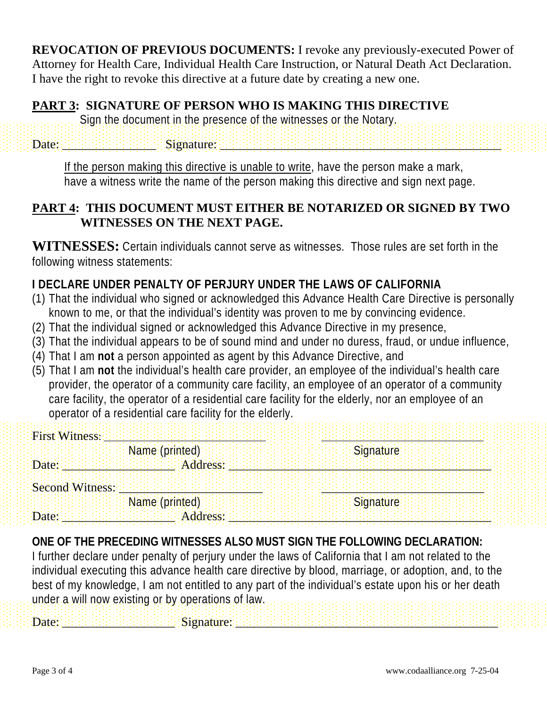**REVOCATION OF PREVIOUS DOCUMENTS:** I revoke any previously-executed Power of Attorney for Health Care, Individual Health Care Instruction, or Natural Death Act Declaration. I have the right to revoke this directive at a future date by creating a new one.

#### **PART 3: SIGNATURE OF PERSON WHO IS MAKING THIS DIRECTIVE**

Sign the document in the presence of the witnesses or the Notary.

 $\textsf{Date}: \textcolor{red}{\textcolor{blue}{\textbf{D}ate:}} \textcolor{red}{\textcolor{blue}{\textbf{D}et:}} \textcolor{blue}{\textcolor{blue}{\textbf{D}et:}} \textcolor{blue}{\textcolor{blue}{\textbf{D}et:}} \textcolor{blue}{\textbf{D}et:}} \textcolor{blue}{\textbf{D}et:}} \textcolor{blue}{\textbf{D}et:}} \textcolor{blue}{\textbf{D}et:}} \textcolor{blue}{\textbf{D}et:}} \textcolor{blue}{\textbf{D}et:}} \textcolor{blue}{\textbf{D}et:}} \textcolor{blue}{\textbf{D}et:}} \textcolor{blue}{\textbf{$ 

If the person making this directive is unable to write, have the person make a mark, have a witness write the name of the person making this directive and sign next page.

#### **PART 4: THIS DOCUMENT MUST EITHER BE NOTARIZED OR SIGNED BY TWO WITNESSES ON THE NEXT PAGE.**

**WITNESSES:** Certain individuals cannot serve as witnesses. Those rules are set forth in the following witness statements:

# **I DECLARE UNDER PENALTY OF PERJURY UNDER THE LAWS OF CALIFORNIA**

- (1) That the individual who signed or acknowledged this Advance Health Care Directive is personally known to me, or that the individual's identity was proven to me by convincing evidence.
- (2) That the individual signed or acknowledged this Advance Directive in my presence,
- (3) That the individual appears to be of sound mind and under no duress, fraud, or undue influence,
- (4) That I am **not** a person appointed as agent by this Advance Directive, and
- (5) That I am **not** the individual's health care provider, an employee of the individual's health care provider, the operator of a community care facility, an employee of an operator of a community care facility, the operator of a residential care facility for the elderly, nor an employee of an operator of a residential care facility for the elderly.

| <b>First Witness:</b> |                |           |
|-----------------------|----------------|-----------|
|                       | Name (printed) | Signature |
| Date:                 | Address:       |           |
| Second Witness:       |                |           |
|                       | Name (printed) | Signature |
| Date:                 | Address:       |           |

# **ONE OF THE PRECEDING WITNESSES ALSO MUST SIGN THE FOLLOWING DECLARATION:**

 $\textbf{Date}: \textcolor{red}{\textcolor{blue}{\textbf{1}}}\textcolor{blue}{\textcolor{blue}{\textbf{2}}}\textcolor{blue}{\textcolor{blue}{\textbf{2}}}\textcolor{blue}{\textcolor{blue}{\textbf{2}}}\textcolor{blue}{\textbf{2}}\textcolor{blue}{\textbf{2}}\textcolor{blue}{\textbf{2}}\textcolor{blue}{\textbf{2}}\textcolor{blue}{\textbf{2}}\textcolor{blue}{\textbf{2}}\textcolor{blue}{\textbf{2}}\textcolor{blue}{\textbf{2}}\textcolor{blue}{\textbf{2}}\textcolor{blue}{\textbf{2}}\textcolor{blue}{\textbf{2}}\textcolor{blue}{\textbf{$ 

I further declare under penalty of perjury under the laws of California that I am not related to the individual executing this advance health care directive by blood, marriage, or adoption, and, to the best of my knowledge, I am not entitled to any part of the individual's estate upon his or her death under a will now existing or by operations of law.